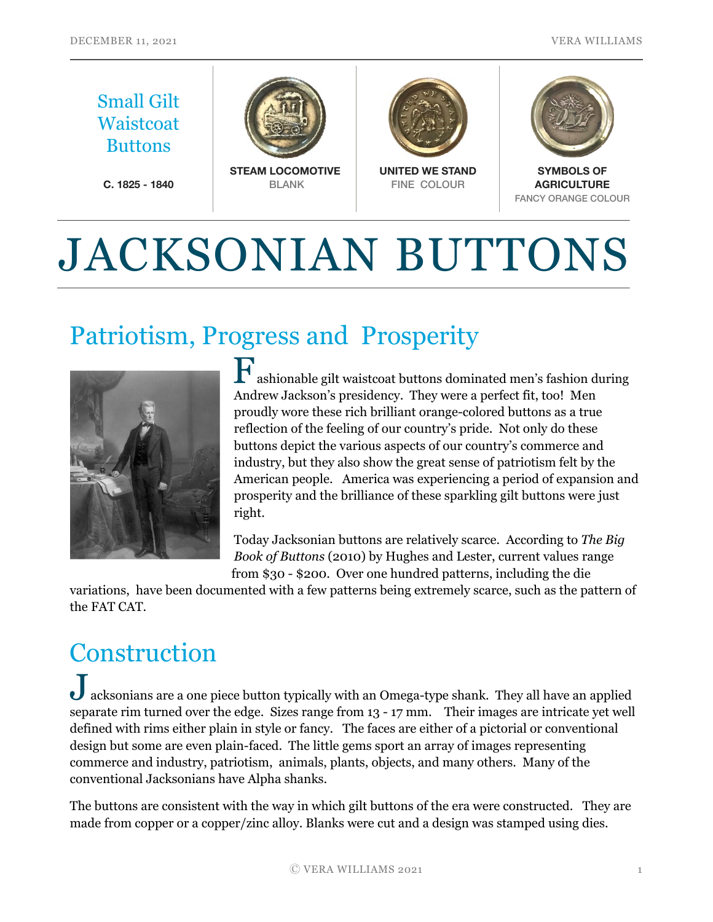

# JACKSONIAN BUTTONS

## Patriotism, Progress and Prosperity



ashionable gilt waistcoat buttons dominated men's fashion during Andrew Jackson's presidency. They were a perfect fit, too! Men proudly wore these rich brilliant orange-colored buttons as a true reflection of the feeling of our country's pride. Not only do these buttons depict the various aspects of our country's commerce and industry, but they also show the great sense of patriotism felt by the American people. America was experiencing a period of expansion and prosperity and the brilliance of these sparkling gilt buttons were just right.

Today Jacksonian buttons are relatively scarce. According to *The Big Book of Buttons* (2010) by Hughes and Lester, current values range from \$30 - \$200. Over one hundred patterns, including the die

variations, have been documented with a few patterns being extremely scarce, such as the pattern of the FAT CAT.

## **Construction**

Jacksonians are a one piece button typically with an Omega-type shank. They all have an applied separate rim turned over the edge. Sizes range from 13 - 17 mm. Their images are intricate yet well defined with rims either plain in style or fancy. The faces are either of a pictorial or conventional design but some are even plain-faced. The little gems sport an array of images representing commerce and industry, patriotism, animals, plants, objects, and many others. Many of the conventional Jacksonians have Alpha shanks.

The buttons are consistent with the way in which gilt buttons of the era were constructed. They are made from copper or a copper/zinc alloy. Blanks were cut and a design was stamped using dies.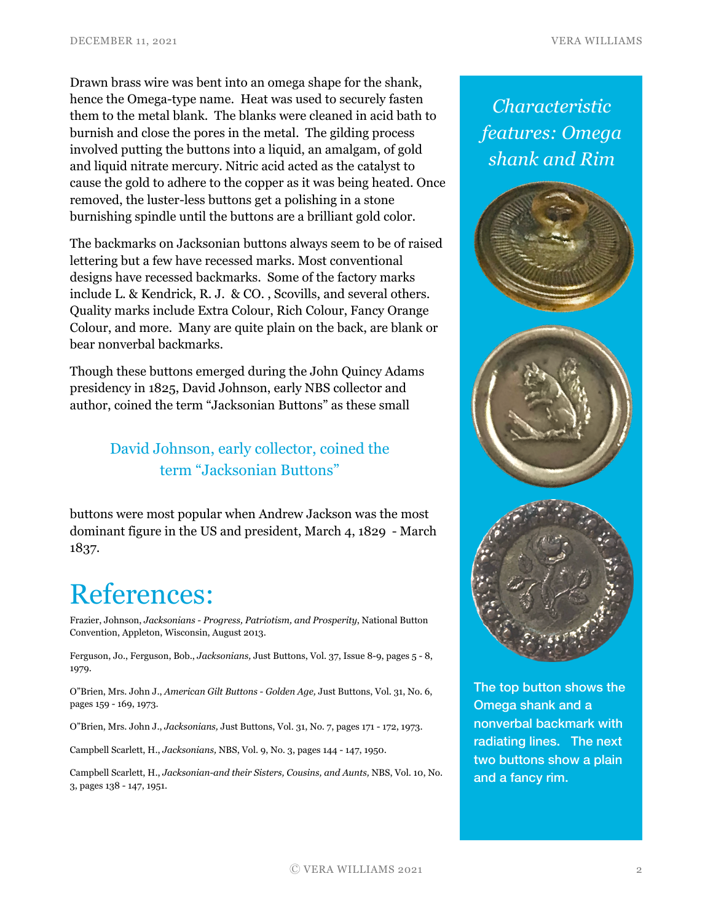Drawn brass wire was bent into an omega shape for the shank, hence the Omega-type name. Heat was used to securely fasten them to the metal blank. The blanks were cleaned in acid bath to burnish and close the pores in the metal. The gilding process involved putting the buttons into a liquid, an amalgam, of gold and liquid nitrate mercury. Nitric acid acted as the catalyst to cause the gold to adhere to the copper as it was being heated. Once removed, the luster-less buttons get a polishing in a stone burnishing spindle until the buttons are a brilliant gold color.

The backmarks on Jacksonian buttons always seem to be of raised lettering but a few have recessed marks. Most conventional designs have recessed backmarks. Some of the factory marks include L. & Kendrick, R. J. & CO. , Scovills, and several others. Quality marks include Extra Colour, Rich Colour, Fancy Orange Colour, and more. Many are quite plain on the back, are blank or bear nonverbal backmarks.

Though these buttons emerged during the John Quincy Adams presidency in 1825, David Johnson, early NBS collector and author, coined the term "Jacksonian Buttons" as these small

### David Johnson, early collector, coined the term "Jacksonian Buttons"

buttons were most popular when Andrew Jackson was the most dominant figure in the US and president, March 4, 1829 - March 1837.

## References:

Frazier, Johnson, *Jacksonians - Progress, Patriotism, and Prosperity*, National Button Convention, Appleton, Wisconsin, August 2013.

Ferguson, Jo., Ferguson, Bob., *Jacksonians,* Just Buttons, Vol. 37, Issue 8-9, pages 5 - 8, 1979.

O"Brien, Mrs. John J., *American Gilt Buttons - Golden Age,* Just Buttons, Vol. 31, No. 6, pages 159 - 169, 1973.

O"Brien, Mrs. John J., *Jacksonians,* Just Buttons, Vol. 31, No. 7, pages 171 - 172, 1973.

Campbell Scarlett, H., *Jacksonians,* NBS, Vol. 9, No. 3, pages 144 - 147, 1950.

Campbell Scarlett, H., *Jacksonian-and their Sisters, Cousins, and Aunts,* NBS, Vol. 10, No. 3, pages 138 - 147, 1951.

*Characteristic features: Omega shank and Rim*







The top button shows the Omega shank and a nonverbal backmark with radiating lines. The next two buttons show a plain and a fancy rim.